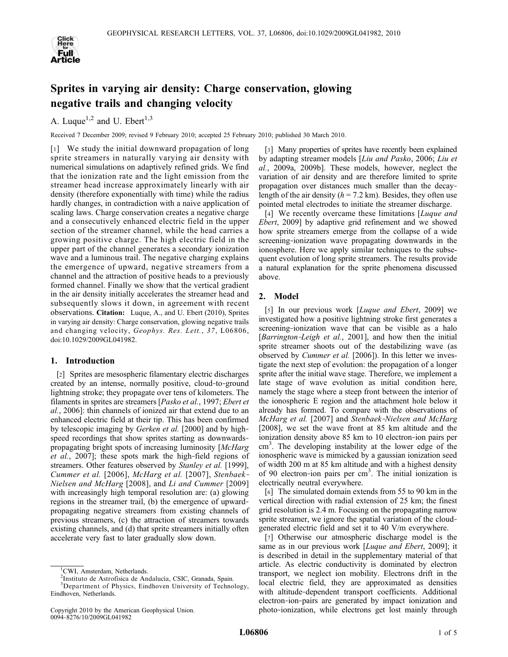

# Sprites in varying air density: Charge conservation, glowing negative trails and changing velocity

A. Luque<sup>1,2</sup> and U. Ebert<sup>1,3</sup>

Received 7 December 2009; revised 9 February 2010; accepted 25 February 2010; published 30 March 2010.

[1] We study the initial downward propagation of long sprite streamers in naturally varying air density with numerical simulations on adaptively refined grids. We find that the ionization rate and the light emission from the streamer head increase approximately linearly with air density (therefore exponentially with time) while the radius hardly changes, in contradiction with a naive application of scaling laws. Charge conservation creates a negative charge and a consecutively enhanced electric field in the upper section of the streamer channel, while the head carries a growing positive charge. The high electric field in the upper part of the channel generates a secondary ionization wave and a luminous trail. The negative charging explains the emergence of upward, negative streamers from a channel and the attraction of positive heads to a previously formed channel. Finally we show that the vertical gradient in the air density initially accelerates the streamer head and subsequently slows it down, in agreement with recent observations. Citation: Luque, A., and U. Ebert (2010), Sprites in varying air density: Charge conservation, glowing negative trails and changing velocity, Geophys. Res. Lett., 37, L06806, doi:10.1029/2009GL041982.

# 1. Introduction

[2] Sprites are mesospheric filamentary electric discharges created by an intense, normally positive, cloud‐to‐ground lightning stroke; they propagate over tens of kilometers. The filaments in sprites are streamers [Pasko et al., 1997; Ebert et al., 2006]: thin channels of ionized air that extend due to an enhanced electric field at their tip. This has been confirmed by telescopic imaging by *Gerken et al.* [2000] and by highspeed recordings that show sprites starting as downwardspropagating bright spots of increasing luminosity [McHarg] et al., 2007]; these spots mark the high‐field regions of streamers. Other features observed by Stanley et al. [1999], Cummer et al. [2006], McHarg et al. [2007], Stenbaek‐ Nielsen and McHarg [2008], and Li and Cummer [2009] with increasingly high temporal resolution are: (a) glowing regions in the streamer trail, (b) the emergence of upward‐ propagating negative streamers from existing channels of previous streamers, (c) the attraction of streamers towards existing channels, and (d) that sprite streamers initially often accelerate very fast to later gradually slow down.

[3] Many properties of sprites have recently been explained by adapting streamer models [Liu and Pasko, 2006; Liu et al., 2009a, 2009b]. These models, however, neglect the variation of air density and are therefore limited to sprite propagation over distances much smaller than the decaylength of the air density ( $h = 7.2$  km). Besides, they often use pointed metal electrodes to initiate the streamer discharge.

[4] We recently overcame these limitations [Luque and Ebert, 2009] by adaptive grid refinement and we showed how sprite streamers emerge from the collapse of a wide screening–ionization wave propagating downwards in the ionosphere. Here we apply similar techniques to the subsequent evolution of long sprite streamers. The results provide a natural explanation for the sprite phenomena discussed above.

# 2. Model

[5] In our previous work [*Luque and Ebert*, 2009] we investigated how a positive lightning stroke first generates a screening-ionization wave that can be visible as a halo [Barrington-Leigh et al., 2001], and how then the initial sprite streamer shoots out of the destabilizing wave (as observed by Cummer et al. [2006]). In this letter we investigate the next step of evolution: the propagation of a longer sprite after the initial wave stage. Therefore, we implement a late stage of wave evolution as initial condition here, namely the stage where a steep front between the interior of the ionospheric E region and the attachment hole below it already has formed. To compare with the observations of McHarg et al. [2007] and Stenbaek‐Nielsen and McHarg [2008], we set the wave front at 85 km altitude and the ionization density above 85 km to 10 electron-ion pairs per cm<sup>3</sup>. The developing instability at the lower edge of the ionospheric wave is mimicked by a gaussian ionization seed of width 200 m at 85 km altitude and with a highest density of 90 electron-ion pairs per  $cm<sup>3</sup>$ . The initial ionization is electrically neutral everywhere.

[6] The simulated domain extends from 55 to 90 km in the vertical direction with radial extension of 25 km; the finest grid resolution is 2.4 m. Focusing on the propagating narrow sprite streamer, we ignore the spatial variation of the cloudgenerated electric field and set it to 40 V/m everywhere.

[7] Otherwise our atmospheric discharge model is the same as in our previous work [Luque and Ebert, 2009]; it is described in detail in the supplementary material of that article. As electric conductivity is dominated by electron transport, we neglect ion mobility. Electrons drift in the local electric field, they are approximated as densities with altitude‐dependent transport coefficients. Additional electron‐ion‐pairs are generated by impact ionization and photo‐ionization, while electrons get lost mainly through

 $\frac{1}{2}$ CWI, Amsterdam, Netherlands.

<sup>&</sup>lt;sup>2</sup>Instituto de Astrofísica de Andalucía, CSIC, Granada, Spain.

<sup>&</sup>lt;sup>3</sup>Department of Physics, Eindhoven University of Technology, Eindhoven, Netherlands.

Copyright 2010 by the American Geophysical Union. 0094‐8276/10/2009GL041982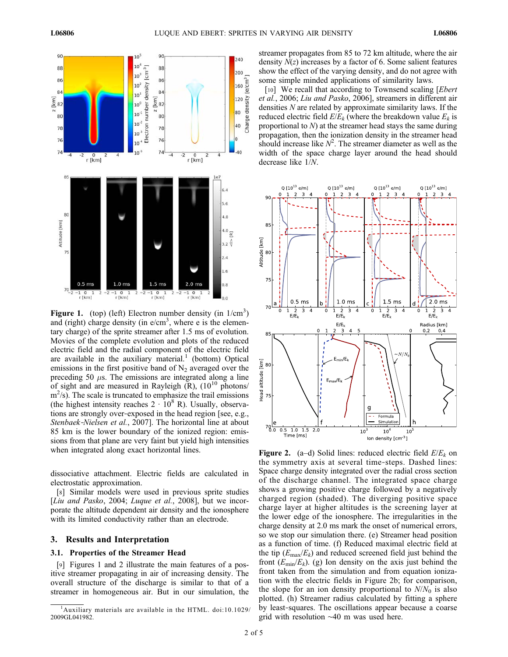

Figure 1. (top) (left) Electron number density (in  $1/cm<sup>3</sup>$ ) and (right) charge density (in e/cm<sup>3</sup>, where e is the elementary charge) of the sprite streamer after 1.5 ms of evolution. Movies of the complete evolution and plots of the reduced electric field and the radial component of the electric field are available in the auxiliary material.<sup>1</sup> (bottom) Optical emissions in the first positive band of  $N<sub>2</sub>$  averaged over the preceding 50  $\mu$ s. The emissions are integrated along a line of sight and are measured in Rayleigh  $(R)$ ,  $(10^{10} \text{ photons}/$ m<sup>2</sup>/s). The scale is truncated to emphasize the trail emissions (the highest intensity reaches  $2 \cdot 10^8$  R). Usually, observations are strongly over‐exposed in the head region [see, e.g., Stenbaek-Nielsen et al., 2007]. The horizontal line at about 85 km is the lower boundary of the ionized region: emissions from that plane are very faint but yield high intensities when integrated along exact horizontal lines.

dissociative attachment. Electric fields are calculated in electrostatic approximation.

[8] Similar models were used in previous sprite studies [Liu and Pasko, 2004; Luque et al., 2008], but we incorporate the altitude dependent air density and the ionosphere with its limited conductivity rather than an electrode.

# 3. Results and Interpretation

# 3.1. Properties of the Streamer Head

[9] Figures 1 and 2 illustrate the main features of a positive streamer propagating in air of increasing density. The overall structure of the discharge is similar to that of a streamer in homogeneous air. But in our simulation, the streamer propagates from 85 to 72 km altitude, where the air density  $N(z)$  increases by a factor of 6. Some salient features show the effect of the varying density, and do not agree with some simple minded applications of similarity laws.

[10] We recall that according to Townsend scaling [*Ebert*] et al., 2006; Liu and Pasko, 2006], streamers in different air densities N are related by approximate similarity laws. If the reduced electric field  $E/E_k$  (where the breakdown value  $E_k$  is proportional to  $N$ ) at the streamer head stays the same during propagation, then the ionization density in the streamer head should increase like  $N^2$ . The streamer diameter as well as the width of the space charge layer around the head should decrease like 1/N.



**Figure 2.** (a–d) Solid lines: reduced electric field  $E/E_k$  on the symmetry axis at several time‐steps. Dashed lines: Space charge density integrated over the radial cross section of the discharge channel. The integrated space charge shows a growing positive charge followed by a negatively charged region (shaded). The diverging positive space charge layer at higher altitudes is the screening layer at the lower edge of the ionosphere. The irregularities in the charge density at 2.0 ms mark the onset of numerical errors, so we stop our simulation there. (e) Streamer head position as a function of time. (f) Reduced maximal electric field at the tip  $(E_{\text{max}}/E_k)$  and reduced screened field just behind the front  $(E_{min}/E_k)$ . (g) Ion density on the axis just behind the front taken from the simulation and from equation ionization with the electric fields in Figure 2b; for comparison, the slope for an ion density proportional to  $N/N_0$  is also plotted. (h) Streamer radius calculated by fitting a sphere by least‐squares. The oscillations appear because a coarse grid with resolution ∼40 m was used here.

<sup>&</sup>lt;sup>1</sup>Auxiliary materials are available in the HTML. doi:10.1029/ 2009GL041982.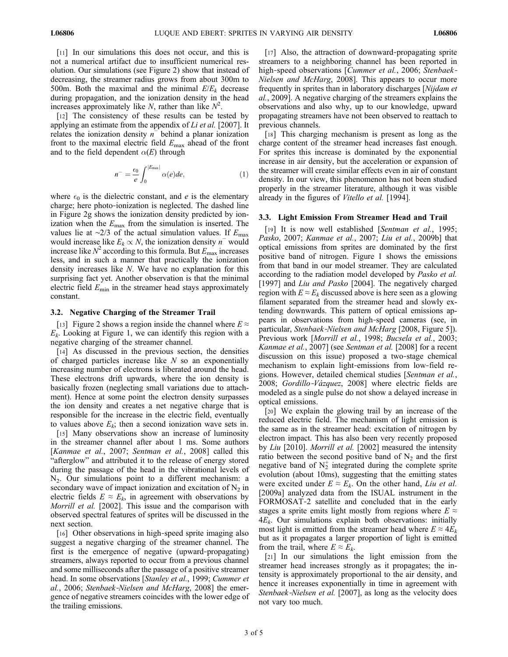[11] In our simulations this does not occur, and this is not a numerical artifact due to insufficient numerical resolution. Our simulations (see Figure 2) show that instead of decreasing, the streamer radius grows from about 300m to 500m. Both the maximal and the minimal  $E/E_k$  decrease during propagation, and the ionization density in the head increases approximately like N, rather than like  $N^2$ .

[12] The consistency of these results can be tested by applying an estimate from the appendix of Li et al. [2007]. It relates the ionization density  $n^-$  behind a planar ionization front to the maximal electric field  $E_{\text{max}}$  ahead of the front and to the field dependent  $\alpha(E)$  through

$$
n^{-} = \frac{\epsilon_0}{e} \int_0^{|E_{\text{max}}|} \alpha(e) de,\tag{1}
$$

where  $\epsilon_0$  is the dielectric constant, and *e* is the elementary charge; here photo‐ionization is neglected. The dashed line in Figure 2g shows the ionization density predicted by ionization when the  $E_{\text{max}}$  from the simulation is inserted. The values lie at ∼2/3 of the actual simulation values. If  $E_{\text{max}}$ would increase like  $E_k \propto N$ , the ionization density n<sup>−</sup> would increase like  $N^2$  according to this formula. But  $E_{\text{max}}$  increases less, and in such a manner that practically the ionization density increases like N. We have no explanation for this surprising fact yet. Another observation is that the minimal electric field  $E_{\text{min}}$  in the streamer head stays approximately constant.

#### 3.2. Negative Charging of the Streamer Trail

[13] Figure 2 shows a region inside the channel where  $E \approx$  $E_k$ . Looking at Figure 1, we can identify this region with a negative charging of the streamer channel.

[14] As discussed in the previous section, the densities of charged particles increase like  $N$  so an exponentially increasing number of electrons is liberated around the head. These electrons drift upwards, where the ion density is basically frozen (neglecting small variations due to attachment). Hence at some point the electron density surpasses the ion density and creates a net negative charge that is responsible for the increase in the electric field, eventually to values above  $E_k$ ; then a second ionization wave sets in.

[15] Many observations show an increase of luminosity in the streamer channel after about 1 ms. Some authors [Kanmae et al., 2007; Sentman et al., 2008] called this "afterglow" and attributed it to the release of energy stored during the passage of the head in the vibrational levels of  $N_2$ . Our simulations point to a different mechanism: a secondary wave of impact ionization and excitation of  $N_2$  in electric fields  $E \approx E_k$ , in agreement with observations by Morrill et al. [2002]. This issue and the comparison with observed spectral features of sprites will be discussed in the next section.

[16] Other observations in high-speed sprite imaging also suggest a negative charging of the streamer channel. The first is the emergence of negative (upward‐propagating) streamers, always reported to occur from a previous channel and some milliseconds after the passage of a positive streamer head. In some observations [Stanley et al., 1999; Cummer et al., 2006; Stenbaek‐Nielsen and McHarg, 2008] the emergence of negative streamers coincides with the lower edge of the trailing emissions.

[17] Also, the attraction of downward-propagating sprite streamers to a neighboring channel has been reported in high-speed observations [Cummer et al., 2006; Stenbaek-Nielsen and McHarg, 2008]. This appears to occur more frequently in sprites than in laboratory discharges [Nijdam et al., 2009]. A negative charging of the streamers explains the observations and also why, up to our knowledge, upward propagating streamers have not been observed to reattach to previous channels.

[18] This charging mechanism is present as long as the charge content of the streamer head increases fast enough. For sprites this increase is dominated by the exponential increase in air density, but the acceleration or expansion of the streamer will create similar effects even in air of constant density. In our view, this phenomenon has not been studied properly in the streamer literature, although it was visible already in the figures of Vitello et al. [1994].

## 3.3. Light Emission From Streamer Head and Trail

[19] It is now well established [Sentman et al., 1995; Pasko, 2007; Kanmae et al., 2007; Liu et al., 2009b] that optical emissions from sprites are dominated by the first positive band of nitrogen. Figure 1 shows the emissions from that band in our model streamer. They are calculated according to the radiation model developed by Pasko et al. [1997] and Liu and Pasko [2004]. The negatively charged region with  $E \approx E_k$  discussed above is here seen as a glowing filament separated from the streamer head and slowly extending downwards. This pattern of optical emissions appears in observations from high‐speed cameras (see, in particular, Stenbaek-Nielsen and McHarg [2008, Figure 5]). Previous work [Morrill et al., 1998; Bucsela et al., 2003; Kanmae et al., 2007] (see Sentman et al. [2008] for a recent discussion on this issue) proposed a two‐stage chemical mechanism to explain light-emissions from low-field regions. However, detailed chemical studies [Sentman et al., 2008; Gordillo-Vázquez, 2008] where electric fields are modeled as a single pulse do not show a delayed increase in optical emissions.

[20] We explain the glowing trail by an increase of the reduced electric field. The mechanism of light emission is the same as in the streamer head: excitation of nitrogen by electron impact. This has also been very recently proposed by Liu [2010]. Morrill et al. [2002] measured the intensity ratio between the second positive band of  $N_2$  and the first negative band of  $N_2^+$  integrated during the complete sprite evolution (about 10ms), suggesting that the emitting states were excited under  $E \approx E_k$ . On the other hand, Liu et al. [2009a] analyzed data from the ISUAL instrument in the FORMOSAT‐2 satellite and concluded that in the early stages a sprite emits light mostly from regions where  $E \approx$  $4E_k$ . Our simulations explain both observations: initially most light is emitted from the streamer head where  $E \approx 4E_k$ but as it propagates a larger proportion of light is emitted from the trail, where  $E \approx E_k$ .

[21] In our simulations the light emission from the streamer head increases strongly as it propagates; the intensity is approximately proportional to the air density, and hence it increases exponentially in time in agreement with Stenbaek-Nielsen et al. [2007], as long as the velocity does not vary too much.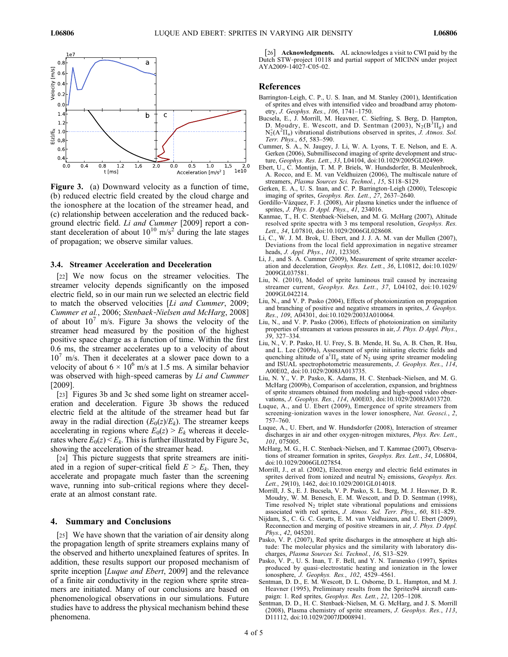

Figure 3. (a) Downward velocity as a function of time, (b) reduced electric field created by the cloud charge and the ionosphere at the location of the streamer head, and (c) relationship between acceleration and the reduced background electric field. Li and Cummer [2009] report a constant deceleration of about  $10^{10}$  m/s<sup>2</sup> during the late stages of propagation; we observe similar values.

## 3.4. Streamer Acceleration and Deceleration

[22] We now focus on the streamer velocities. The streamer velocity depends significantly on the imposed electric field, so in our main run we selected an electric field to match the observed velocities [Li and Cummer, 2009; Cummer et al., 2006; Stenbaek‐Nielsen and McHarg, 2008] of about  $10<sup>7</sup>$  m/s. Figure 3a shows the velocity of the streamer head measured by the position of the highest positive space charge as a function of time. Within the first 0.6 ms, the streamer accelerates up to a velocity of about  $10<sup>7</sup>$  m/s. Then it decelerates at a slower pace down to a velocity of about  $6 \times 10^6$  m/s at 1.5 ms. A similar behavior was observed with high-speed cameras by Li and Cummer [2009].

[23] Figures 3b and 3c shed some light on streamer acceleration and deceleration. Figure 3b shows the reduced electric field at the altitude of the streamer head but far away in the radial direction  $(E_0(z)/E_k)$ . The streamer keeps accelerating in regions where  $E_0(z) \ge E_k$  whereas it decelerates where  $E_0(z) \leq E_k$ . This is further illustrated by Figure 3c, showing the acceleration of the streamer head.

[24] This picture suggests that sprite streamers are initiated in a region of super-critical field  $E > E_k$ . Then, they accelerate and propagate much faster than the screening wave, running into sub-critical regions where they decelerate at an almost constant rate.

## 4. Summary and Conclusions

[25] We have shown that the variation of air density along the propagation length of sprite streamers explains many of the observed and hitherto unexplained features of sprites. In addition, these results support our proposed mechanism of sprite inception [*Luque and Ebert*, 2009] and the relevance of a finite air conductivity in the region where sprite streamers are initiated. Many of our conclusions are based on phenomenological observations in our simulations. Future studies have to address the physical mechanism behind these phenomena.

[26] **Acknowledgments.** AL acknowledges a visit to CWI paid by the Dutch STW‐project 10118 and partial support of MICINN under project AYA2009‐14027‐C05‐02.

#### References

- Barrington‐Leigh, C. P., U. S. Inan, and M. Stanley (2001), Identification of sprites and elves with intensified video and broadband array photometry, J. Geophys. Res., 106, 1741–1750.
- Bucsela, E., J. Morrill, M. Heavner, C. Siefring, S. Berg, D. Hampton, D. Moudry, E. Wescott, and D. Sentman (2003),  $N_2(B^3\Pi_g)$  and  $N_2^+(A^2\Pi_u)$  vibrational distributions observed in sprites,  $\overline{J}$ . Atmos. Sol. Terr. Phys., 65, 583–590.
- Cummer, S. A., N. Jaugey, J. Li, W. A. Lyons, T. E. Nelson, and E. A. Gerken (2006), Submillisecond imaging of sprite development and structure, Geophys. Res. Lett., 33, L04104, doi:10.1029/2005GL024969.
- Ebert, U., C. Montijn, T. M. P. Briels, W. Hundsdorfer, B. Meulenbroek, A. Rocco, and E. M. van Veldhuizen (2006), The multiscale nature of streamers, Plasma Sources Sci. Technol., 15, S118-S129.
- Gerken, E. A., U. S. Inan, and C. P. Barrington‐Leigh (2000), Telescopic imaging of sprites, Geophys. Res. Lett., 27, 2637–2640.
- Gordillo‐Vázquez, F. J. (2008), Air plasma kinetics under the influence of sprites, *J. Phys. D Appl. Phys.*, 41, 234016.
- Kanmae, T., H. C. Stenbaek‐Nielsen, and M. G. McHarg (2007), Altitude resolved sprite spectra with 3 ms temporal resolution, Geophys. Res. Lett., 34, L07810, doi:10.1029/2006GL028608.
- Li, C., W. J. M. Brok, U. Ebert, and J. J. A. M. van der Mullen (2007), Deviations from the local field approximation in negative streamer heads, *J. Appl. Phys.*, 101, 123305.
- Li, J., and S. A. Cummer (2009), Measurement of sprite streamer acceleration and deceleration, Geophys. Res. Lett., 36, L10812, doi:10.1029/ 2009GL037581.
- Liu, N. (2010), Model of sprite luminous trail caused by increasing streamer current, Geophys. Res. Lett., 37, L04102, doi:10.1029/ 2009GL042214.
- Liu, N., and V. P. Pasko (2004), Effects of photoionization on propagation and branching of positive and negative streamers in sprites, J. Geophys. Res., 109, A04301, doi:10.1029/2003JA010064.
- Liu, N., and V. P. Pasko (2006), Effects of photoionization on similarity properties of streamers at various pressures in air, J. Phys. D Appl. Phys., 39, 327–334.
- Liu, N., V. P. Pasko, H. U. Frey, S. B. Mende, H. Su, A. B. Chen, R. Hsu, and L. Lee (2009a), Assessment of sprite initiating electric fields and quenching altitude of  $a^1\Pi_g$  state of  $N_2$  using sprite streamer modeling and ISUAL spectrophotometric measurements, J. Geophys. Res., 114, A00E02, doi:10.1029/2008JA013735.
- Liu, N. Y., V. P. Pasko, K. Adams, H. C. Stenbaek‐Nielsen, and M. G. McHarg (2009b), Comparison of acceleration, expansion, and brightness of sprite streamers obtained from modeling and high‐speed video observations, J. Geophys. Res., 114, A00E03, doi:10.1029/2008JA013720.
- Luque, A., and U. Ebert (2009), Emergence of sprite streamers from screening-ionization waves in the lower ionosphere, Nat. Geosci., 2, 757–760.
- Luque, A., U. Ebert, and W. Hundsdorfer (2008), Interaction of streamer discharges in air and other oxygen-nitrogen mixtures, Phys. Rev. Lett., 101, 075005.
- McHarg, M. G., H. C. Stenbaek‐Nielsen, and T. Kammae (2007), Observations of streamer formation in sprites, Geophys. Res. Lett., 34, L06804, doi:10.1029/2006GL027854.
- Morrill, J., et al. (2002), Electron energy and electric field estimates in sprites derived from ionized and neutral  $N_2$  emissions, *Geophys. Res.* Lett., 29(10), 1462, doi:10.1029/2001GL014018.
- Morrill, J. S., E. J. Bucsela, V. P. Pasko, S. L. Berg, M. J. Heavner, D. R. Moudry, W. M. Benesch, E. M. Wescott, and D. D. Sentman (1998), Time resolved  $N_2$  triplet state vibrational populations and emissions associated with red sprites, J. Atmos. Sol. Terr. Phys., 60, 811–829.
- Nijdam, S., C. G. C. Geurts, E. M. van Veldhuizen, and U. Ebert (2009), Reconnection and merging of positive streamers in air, J. Phys. D Appl. Phys., 42, 045201.
- Pasko, V. P. (2007), Red sprite discharges in the atmosphere at high altitude: The molecular physics and the similarity with laboratory discharges, Plasma Sources Sci. Technol., 16, S13–S29.
- Pasko, V. P., U. S. Inan, T. F. Bell, and Y. N. Taranenko (1997), Sprites produced by quasi‐electrostatic heating and ionization in the lower ionosphere, J. Geophys. Res., 102, 4529–4561.
- Sentman, D. D., E. M. Wescott, D. L. Osborne, D. L. Hampton, and M. J. Heavner (1995), Preliminary results from the Sprites94 aircraft campaign: 1. Red sprites, Geophys. Res. Lett., 22, 1205-1208.
- Sentman, D. D., H. C. Stenbaek‐Nielsen, M. G. McHarg, and J. S. Morrill (2008), Plasma chemistry of sprite streamers, J. Geophys. Res., 113, D11112, doi:10.1029/2007JD008941.